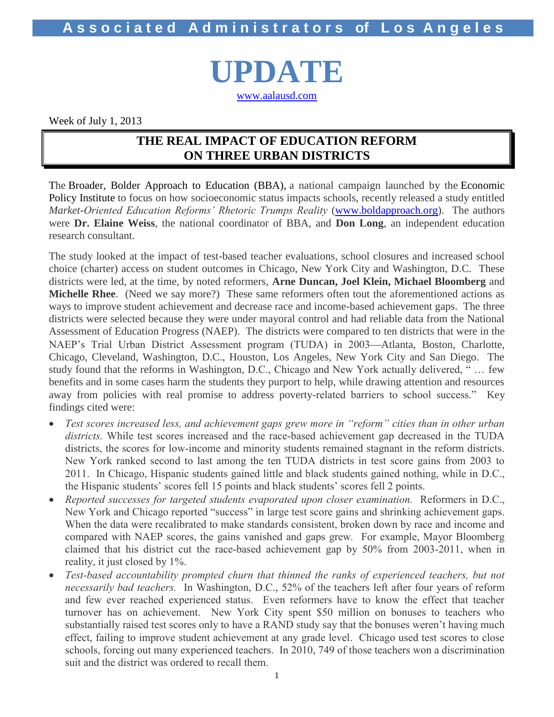**UPDATE** [www.aalausd.com](http://www.aalausd.com/)

Week of July 1, 2013

## **THE REAL IMPACT OF EDUCATION REFORM ON THREE URBAN DISTRICTS**

The Broader, Bolder Approach to Education (BBA), a national campaign launched by the Economic Policy Institute to focus on how socioeconomic status impacts schools, recently released a study entitled *Market-Oriented Education Reforms' Rhetoric Trumps Reality* [\(www.boldapproach.org\)](http://www.boldapproach.org/). The authors were **Dr. Elaine Weiss**, the national coordinator of BBA, and **Don Long**, an independent education research consultant.

The study looked at the impact of test-based teacher evaluations, school closures and increased school choice (charter) access on student outcomes in Chicago, New York City and Washington, D.C. These districts were led, at the time, by noted reformers, **Arne Duncan, Joel Klein, Michael Bloomberg** and **Michelle Rhee**. (Need we say more?) These same reformers often tout the aforementioned actions as ways to improve student achievement and decrease race and income-based achievement gaps. The three districts were selected because they were under mayoral control and had reliable data from the National Assessment of Education Progress (NAEP). The districts were compared to ten districts that were in the NAEP's Trial Urban District Assessment program (TUDA) in 2003—Atlanta, Boston, Charlotte, Chicago, Cleveland, Washington, D.C., Houston, Los Angeles, New York City and San Diego. The study found that the reforms in Washington, D.C., Chicago and New York actually delivered, " … few benefits and in some cases harm the students they purport to help, while drawing attention and resources away from policies with real promise to address poverty-related barriers to school success." Key findings cited were:

- *Test scores increased less, and achievement gaps grew more in "reform" cities than in other urban districts.* While test scores increased and the race-based achievement gap decreased in the TUDA districts, the scores for low-income and minority students remained stagnant in the reform districts. New York ranked second to last among the ten TUDA districts in test score gains from 2003 to 2011. In Chicago, Hispanic students gained little and black students gained nothing, while in D.C., the Hispanic students' scores fell 15 points and black students' scores fell 2 points.
- *Reported successes for targeted students evaporated upon closer examination.* Reformers in D.C., New York and Chicago reported "success" in large test score gains and shrinking achievement gaps. When the data were recalibrated to make standards consistent, broken down by race and income and compared with NAEP scores, the gains vanished and gaps grew*.* For example, Mayor Bloomberg claimed that his district cut the race-based achievement gap by 50% from 2003-2011, when in reality, it just closed by 1%.
- Test-based accountability prompted churn that thinned the ranks of experienced teachers, but not *necessarily bad teachers.* In Washington, D.C., 52% of the teachers left after four years of reform and few ever reached experienced status. Even reformers have to know the effect that teacher turnover has on achievement. New York City spent \$50 million on bonuses to teachers who substantially raised test scores only to have a RAND study say that the bonuses weren't having much effect, failing to improve student achievement at any grade level. Chicago used test scores to close schools, forcing out many experienced teachers. In 2010, 749 of those teachers won a discrimination suit and the district was ordered to recall them.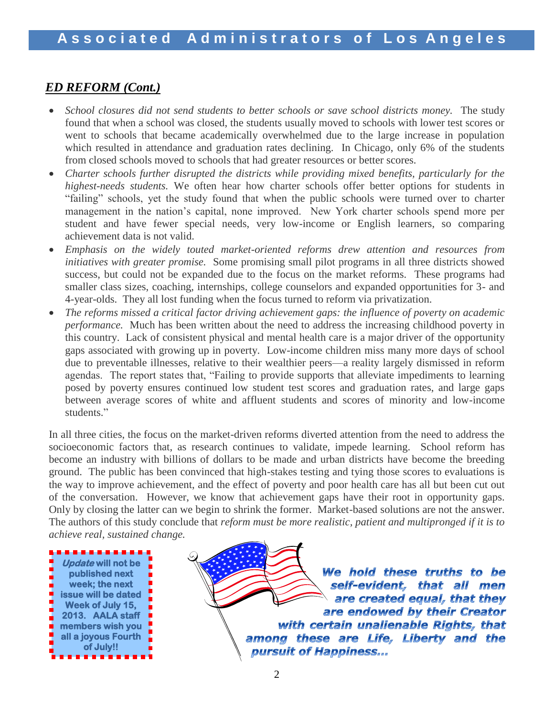### *ED REFORM (Cont.)*

- School closures did not send students to better schools or save school districts money. The study found that when a school was closed, the students usually moved to schools with lower test scores or went to schools that became academically overwhelmed due to the large increase in population which resulted in attendance and graduation rates declining. In Chicago, only 6% of the students from closed schools moved to schools that had greater resources or better scores.
- *Charter schools further disrupted the districts while providing mixed benefits, particularly for the highest-needs students.* We often hear how charter schools offer better options for students in "failing" schools, yet the study found that when the public schools were turned over to charter management in the nation's capital, none improved. New York charter schools spend more per student and have fewer special needs, very low-income or English learners, so comparing achievement data is not valid.
- *Emphasis on the widely touted market-oriented reforms drew attention and resources from initiatives with greater promise.* Some promising small pilot programs in all three districts showed success, but could not be expanded due to the focus on the market reforms. These programs had smaller class sizes, coaching, internships, college counselors and expanded opportunities for 3- and 4-year-olds. They all lost funding when the focus turned to reform via privatization.
- *The reforms missed a critical factor driving achievement gaps: the influence of poverty on academic performance.* Much has been written about the need to address the increasing childhood poverty in this country. Lack of consistent physical and mental health care is a major driver of the opportunity gaps associated with growing up in poverty. Low-income children miss many more days of school due to preventable illnesses, relative to their wealthier peers—a reality largely dismissed in reform agendas. The report states that, "Failing to provide supports that alleviate impediments to learning posed by poverty ensures continued low student test scores and graduation rates, and large gaps between average scores of white and affluent students and scores of minority and low-income students."

In all three cities, the focus on the market-driven reforms diverted attention from the need to address the socioeconomic factors that, as research continues to validate, impede learning. School reform has become an industry with billions of dollars to be made and urban districts have become the breeding ground. The public has been convinced that high-stakes testing and tying those scores to evaluations is the way to improve achievement, and the effect of poverty and poor health care has all but been cut out of the conversation. However, we know that achievement gaps have their root in opportunity gaps. Only by closing the latter can we begin to shrink the former. Market-based solutions are not the answer. The authors of this study conclude that *reform must be more realistic, patient and multipronged if it is to achieve real, sustained change.* 



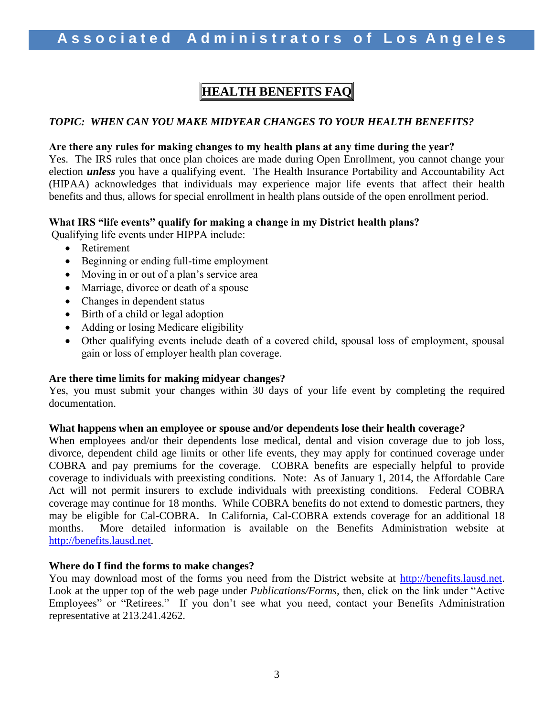# **HEALTH BENEFITS FAQ**

### *TOPIC: WHEN CAN YOU MAKE MIDYEAR CHANGES TO YOUR HEALTH BENEFITS?*

### **Are there any rules for making changes to my health plans at any time during the year?**

Yes. The IRS rules that once plan choices are made during Open Enrollment, you cannot change your election *unless* you have a qualifying event. The Health Insurance Portability and Accountability Act (HIPAA) acknowledges that individuals may experience major life events that affect their health benefits and thus, allows for special enrollment in health plans outside of the open enrollment period.

### **What IRS "life events" qualify for making a change in my District health plans?**

Qualifying life events under HIPPA include:

- Retirement
- Beginning or ending full-time employment
- Moving in or out of a plan's service area
- Marriage, divorce or death of a spouse
- Changes in dependent status
- Birth of a child or legal adoption
- Adding or losing Medicare eligibility
- Other qualifying events include death of a covered child, spousal loss of employment, spousal gain or loss of employer health plan coverage.

### **Are there time limits for making midyear changes?**

Yes, you must submit your changes within 30 days of your life event by completing the required documentation.

#### **What happens when an employee or spouse and/or dependents lose their health coverage***?*

When employees and/or their dependents lose medical, dental and vision coverage due to job loss, divorce, dependent child age limits or other life events, they may apply for continued coverage under COBRA and pay premiums for the coverage. COBRA benefits are especially helpful to provide coverage to individuals with preexisting conditions. Note: As of January 1, 2014, the Affordable Care Act will not permit insurers to exclude individuals with preexisting conditions. Federal COBRA coverage may continue for 18 months. While COBRA benefits do not extend to domestic partners, they may be eligible for Cal-COBRA. In California, Cal-COBRA extends coverage for an additional 18 months. More detailed information is available on the Benefits Administration website at [http://benefits.lausd.net.](http://benefits.lausd.net/)

#### **Where do I find the forms to make changes?**

You may download most of the forms you need from the District website at [http://benefits.lausd.net.](http://benefits.lausd.net/) Look at the upper top of the web page under *Publications/Forms,* then, click on the link under "Active Employees" or "Retirees."If you don't see what you need, contact your Benefits Administration representative at 213.241.4262.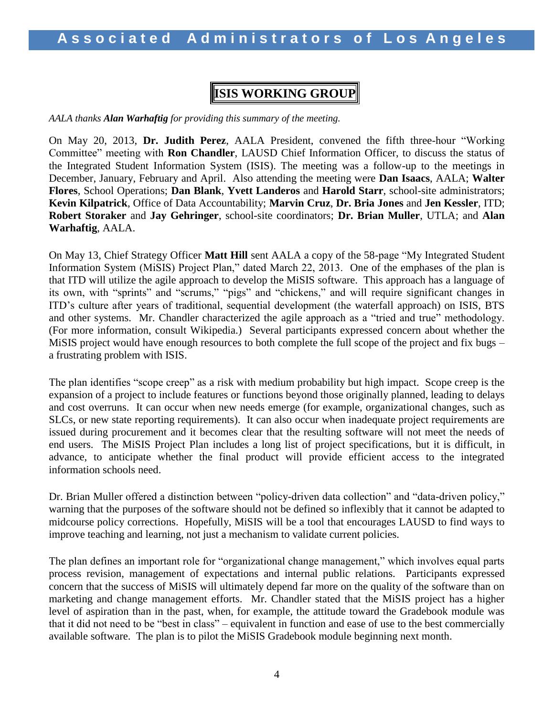# **ISIS WORKING GROUP**

*AALA thanks Alan Warhaftig for providing this summary of the meeting.*

On May 20, 2013, **Dr. Judith Perez**, AALA President, convened the fifth three-hour "Working Committee" meeting with **Ron Chandler**, LAUSD Chief Information Officer, to discuss the status of the Integrated Student Information System (ISIS). The meeting was a follow-up to the meetings in December, January, February and April. Also attending the meeting were **Dan Isaacs**, AALA; **Walter Flores**, School Operations; **Dan Blank**, **Yvett Landeros** and **Harold Starr**, school-site administrators; **Kevin Kilpatrick**, Office of Data Accountability; **Marvin Cruz**, **Dr. Bria Jones** and **Jen Kessler**, ITD; **Robert Storaker** and **Jay Gehringer**, school-site coordinators; **Dr. Brian Muller**, UTLA; and **Alan Warhaftig**, AALA.

On May 13, Chief Strategy Officer **Matt Hill** sent AALA a copy of the 58-page "My Integrated Student Information System (MiSIS) Project Plan," dated March 22, 2013. One of the emphases of the plan is that ITD will utilize the agile approach to develop the MiSIS software. This approach has a language of its own, with "sprints" and "scrums," "pigs" and "chickens," and will require significant changes in ITD's culture after years of traditional, sequential development (the waterfall approach) on ISIS, BTS and other systems. Mr. Chandler characterized the agile approach as a "tried and true" methodology. (For more information, consult Wikipedia.) Several participants expressed concern about whether the MiSIS project would have enough resources to both complete the full scope of the project and fix bugs – a frustrating problem with ISIS.

The plan identifies "scope creep" as a risk with medium probability but high impact. Scope creep is the expansion of a project to include features or functions beyond those originally planned, leading to delays and cost overruns. It can occur when new needs emerge (for example, organizational changes, such as SLCs, or new state reporting requirements). It can also occur when inadequate project requirements are issued during procurement and it becomes clear that the resulting software will not meet the needs of end users. The MiSIS Project Plan includes a long list of project specifications, but it is difficult, in advance, to anticipate whether the final product will provide efficient access to the integrated information schools need.

Dr. Brian Muller offered a distinction between "policy-driven data collection" and "data-driven policy," warning that the purposes of the software should not be defined so inflexibly that it cannot be adapted to midcourse policy corrections. Hopefully, MiSIS will be a tool that encourages LAUSD to find ways to improve teaching and learning, not just a mechanism to validate current policies.

The plan defines an important role for "organizational change management," which involves equal parts process revision, management of expectations and internal public relations. Participants expressed concern that the success of MiSIS will ultimately depend far more on the quality of the software than on marketing and change management efforts. Mr. Chandler stated that the MiSIS project has a higher level of aspiration than in the past, when, for example, the attitude toward the Gradebook module was that it did not need to be "best in class" – equivalent in function and ease of use to the best commercially available software. The plan is to pilot the MiSIS Gradebook module beginning next month.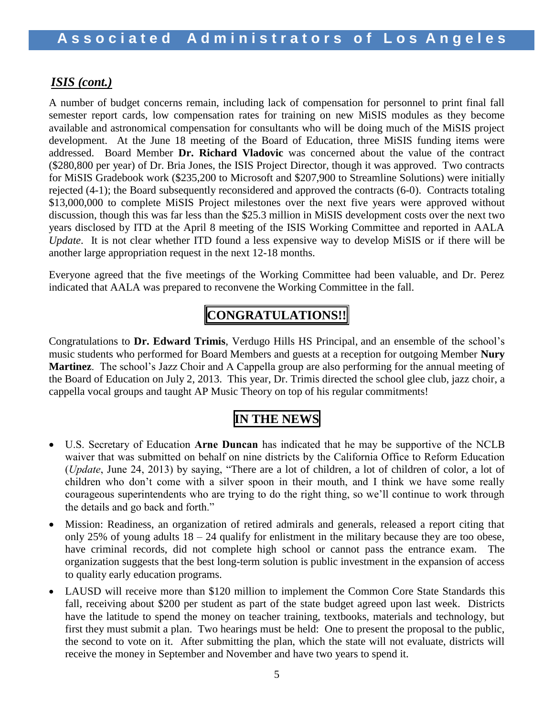### *ISIS (cont.)*

A number of budget concerns remain, including lack of compensation for personnel to print final fall semester report cards, low compensation rates for training on new MiSIS modules as they become available and astronomical compensation for consultants who will be doing much of the MiSIS project development. At the June 18 meeting of the Board of Education, three MiSIS funding items were addressed. Board Member **Dr. Richard Vladovic** was concerned about the value of the contract (\$280,800 per year) of Dr. Bria Jones, the ISIS Project Director, though it was approved. Two contracts for MiSIS Gradebook work (\$235,200 to Microsoft and \$207,900 to Streamline Solutions) were initially rejected (4-1); the Board subsequently reconsidered and approved the contracts (6-0). Contracts totaling \$13,000,000 to complete MiSIS Project milestones over the next five years were approved without discussion, though this was far less than the \$25.3 million in MiSIS development costs over the next two years disclosed by ITD at the April 8 meeting of the ISIS Working Committee and reported in AALA *Update*. It is not clear whether ITD found a less expensive way to develop MiSIS or if there will be another large appropriation request in the next 12-18 months.

Everyone agreed that the five meetings of the Working Committee had been valuable, and Dr. Perez indicated that AALA was prepared to reconvene the Working Committee in the fall.

# **CONGRATULATIONS!!**

Congratulations to **Dr. Edward Trimis**, Verdugo Hills HS Principal, and an ensemble of the school's music students who performed for Board Members and guests at a reception for outgoing Member **Nury Martinez**. The school's Jazz Choir and A Cappella group are also performing for the annual meeting of the Board of Education on July 2, 2013. This year, Dr. Trimis directed the school glee club, jazz choir, a cappella vocal groups and taught AP Music Theory on top of his regular commitments!

# **IN THE NEWS**

- U.S. Secretary of Education **Arne Duncan** has indicated that he may be supportive of the NCLB waiver that was submitted on behalf on nine districts by the California Office to Reform Education (*Update*, June 24, 2013) by saying, "There are a lot of children, a lot of children of color, a lot of children who don't come with a silver spoon in their mouth, and I think we have some really courageous superintendents who are trying to do the right thing, so we'll continue to work through the details and go back and forth."
- Mission: Readiness, an organization of retired admirals and generals, released a report citing that only 25% of young adults  $18 - 24$  qualify for enlistment in the military because they are too obese, have criminal records, did not complete high school or cannot pass the entrance exam. The organization suggests that the best long-term solution is public investment in the expansion of access to quality early education programs.
- LAUSD will receive more than \$120 million to implement the Common Core State Standards this fall, receiving about \$200 per student as part of the state budget agreed upon last week. Districts have the latitude to spend the money on teacher training, textbooks, materials and technology, but first they must submit a plan. Two hearings must be held: One to present the proposal to the public, the second to vote on it. After submitting the plan, which the state will not evaluate, districts will receive the money in September and November and have two years to spend it.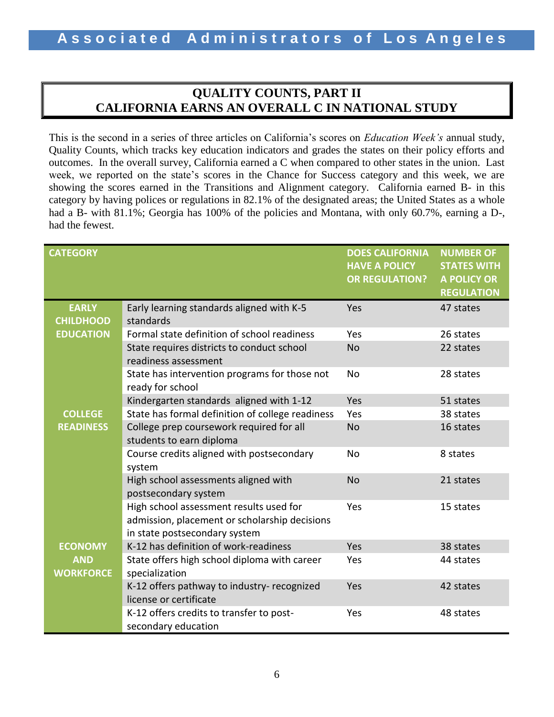## **QUALITY COUNTS, PART II CALIFORNIA EARNS AN OVERALL C IN NATIONAL STUDY**

This is the second in a series of three articles on California's scores on *Education Week's* annual study, Quality Counts, which tracks key education indicators and grades the states on their policy efforts and outcomes. In the overall survey, California earned a C when compared to other states in the union. Last week, we reported on the state's scores in the Chance for Success category and this week, we are showing the scores earned in the Transitions and Alignment category. California earned B- in this category by having polices or regulations in 82.1% of the designated areas; the United States as a whole had a B- with 81.1%; Georgia has 100% of the policies and Montana, with only 60.7%, earning a D-, had the fewest.

| <b>CATEGORY</b>                  |                                                                                                                           | <b>DOES CALIFORNIA</b><br><b>HAVE A POLICY</b><br><b>OR REGULATION?</b> | <b>NUMBER OF</b><br><b>STATES WITH</b><br><b>A POLICY OR</b><br><b>REGULATION</b> |
|----------------------------------|---------------------------------------------------------------------------------------------------------------------------|-------------------------------------------------------------------------|-----------------------------------------------------------------------------------|
| <b>EARLY</b><br><b>CHILDHOOD</b> | Early learning standards aligned with K-5<br>standards                                                                    | Yes                                                                     | 47 states                                                                         |
| <b>EDUCATION</b>                 | Formal state definition of school readiness                                                                               | Yes                                                                     | 26 states                                                                         |
|                                  | State requires districts to conduct school<br>readiness assessment                                                        | <b>No</b>                                                               | 22 states                                                                         |
|                                  | State has intervention programs for those not<br>ready for school                                                         | No                                                                      | 28 states                                                                         |
|                                  | Kindergarten standards aligned with 1-12                                                                                  | Yes                                                                     | 51 states                                                                         |
| <b>COLLEGE</b>                   | State has formal definition of college readiness                                                                          | Yes                                                                     | 38 states                                                                         |
| <b>READINESS</b>                 | College prep coursework required for all<br>students to earn diploma                                                      | <b>No</b>                                                               | 16 states                                                                         |
|                                  | Course credits aligned with postsecondary<br>system                                                                       | <b>No</b>                                                               | 8 states                                                                          |
|                                  | High school assessments aligned with<br>postsecondary system                                                              | <b>No</b>                                                               | 21 states                                                                         |
|                                  | High school assessment results used for<br>admission, placement or scholarship decisions<br>in state postsecondary system | Yes                                                                     | 15 states                                                                         |
| <b>ECONOMY</b>                   | K-12 has definition of work-readiness                                                                                     | Yes                                                                     | 38 states                                                                         |
| <b>AND</b><br><b>WORKFORCE</b>   | State offers high school diploma with career<br>specialization                                                            | Yes                                                                     | 44 states                                                                         |
|                                  | K-12 offers pathway to industry- recognized<br>license or certificate                                                     | Yes                                                                     | 42 states                                                                         |
|                                  | K-12 offers credits to transfer to post-<br>secondary education                                                           | Yes                                                                     | 48 states                                                                         |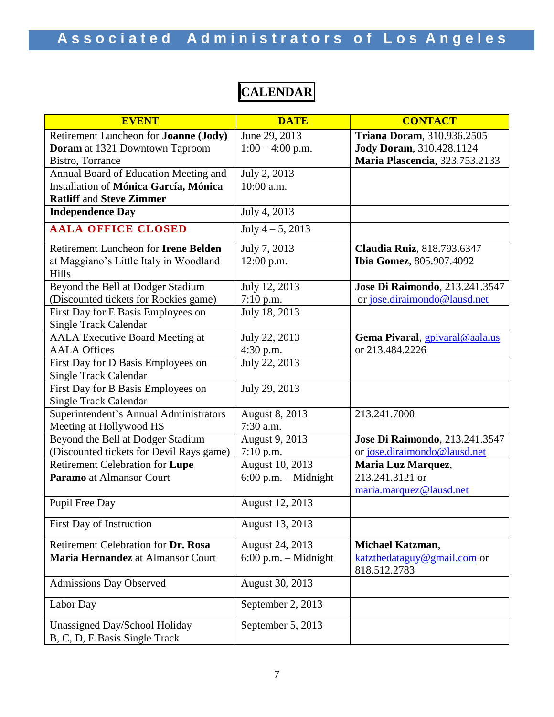**EVENT DATE CONTACT** Retirement Luncheon for **Joanne (Jody) Doram** at 1321 Downtown Taproom Bistro, Torrance June 29, 2013  $1:00 - 4:00$  p.m. **Triana Doram**, 310.936.2505 **Jody Doram**, 310.428.1124 **Maria Plascencia**, 323.753.2133 Annual Board of Education Meeting and Installation of **Mónica García, Mónica Ratliff** and **Steve Zimmer** July 2, 2013 10:00 a.m. **Independence Day** July 4, 2013 **AALA OFFICE CLOSED** July 4 – 5, 2013 Retirement Luncheon for **Irene Belden** at Maggiano's Little Italy in Woodland Hills July 7, 2013 12:00 p.m. **Claudia Ruiz**, 818.793.6347 **Ibia Gomez**, 805.907.4092 Beyond the Bell at Dodger Stadium (Discounted tickets for Rockies game) July 12, 2013 7:10 p.m. **Jose Di Raimondo**, 213.241.3547 or [jose.diraimondo@lausd.net](mailto:jose.diraimondo@lausd.net) First Day for E Basis Employees on Single Track Calendar July 18, 2013 AALA Executive Board Meeting at AALA Offices July 22, 2013 4:30 p.m. **Gema Pivaral**, [gpivaral@aala.us](mailto:gpivaral@aala.us) or 213.484.2226 First Day for D Basis Employees on Single Track Calendar July 22, 2013 First Day for B Basis Employees on Single Track Calendar July 29, 2013 Superintendent's Annual Administrators Meeting at Hollywood HS August 8, 2013 7:30 a.m. 213.241.7000 Beyond the Bell at Dodger Stadium (Discounted tickets for Devil Rays game) August 9, 2013 7:10 p.m. **Jose Di Raimondo**, 213.241.3547 or [jose.diraimondo@lausd.net](mailto:jose.diraimondo@lausd.net) Retirement Celebration for **Lupe Paramo** at Almansor Court August 10, 2013 6:00 p.m. – Midnight **Maria Luz Marquez**, 213.241.3121 or [maria.marquez@lausd.net](mailto:maria.marquez@lausd.net) Pupil Free Day August 12, 2013 First Day of Instruction August 13, 2013 Retirement Celebration for **Dr. Rosa Maria Hernandez** at Almansor Court August 24, 2013 6:00 p.m. – Midnight **Michael Katzman**, [katzthedataguy@gmail.com](mailto:katzthedataguy@gmail.com) or 818.512.2783 Admissions Day Observed | August 30, 2013 Labor Day September 2, 2013 Unassigned Day/School Holiday B, C, D, E Basis Single Track September 5, 2013

**CALENDAR**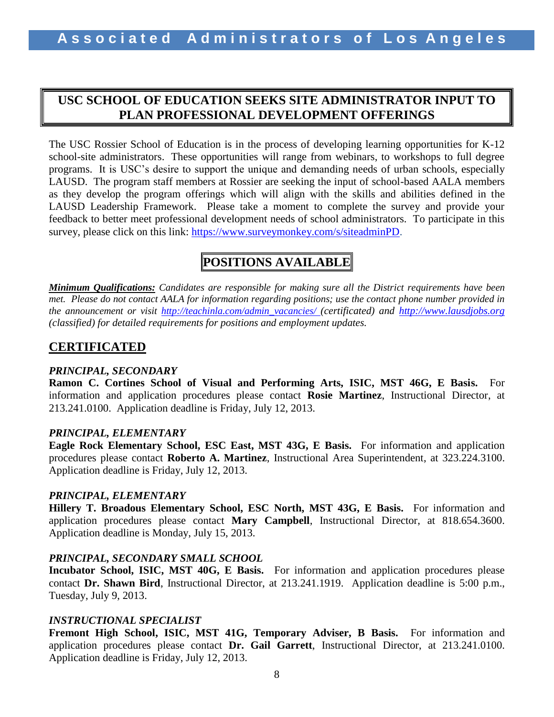## **USC SCHOOL OF EDUCATION SEEKS SITE ADMINISTRATOR INPUT TO PLAN PROFESSIONAL DEVELOPMENT OFFERINGS**

The USC Rossier School of Education is in the process of developing learning opportunities for K-12 school-site administrators. These opportunities will range from webinars, to workshops to full degree programs. It is USC's desire to support the unique and demanding needs of urban schools, especially LAUSD. The program staff members at Rossier are seeking the input of school-based AALA members as they develop the program offerings which will align with the skills and abilities defined in the LAUSD Leadership Framework. Please take a moment to complete the survey and provide your feedback to better meet professional development needs of school administrators. To participate in this survey, please click on this link: [https://www.surveymonkey.com/s/siteadminPD.](https://www.surveymonkey.com/s/siteadminPD)

# **POSITIONS AVAILABLE**

*Minimum Qualifications: Candidates are responsible for making sure all the District requirements have been met. Please do not contact AALA for information regarding positions; use the contact phone number provided in the announcement or visit [http://teachinla.com/admin\\_vacancies/](http://teachinla.com/admin_vacancies/) (certificated) and [http://www.lausdjobs.org](http://www.lausdjobs.org/)  (classified) for detailed requirements for positions and employment updates.*

### **CERTIFICATED**

### *PRINCIPAL, SECONDARY*

**Ramon C. Cortines School of Visual and Performing Arts, ISIC, MST 46G, E Basis.** For information and application procedures please contact **Rosie Martinez**, Instructional Director, at 213.241.0100. Application deadline is Friday, July 12, 2013.

### *PRINCIPAL, ELEMENTARY*

**Eagle Rock Elementary School, ESC East, MST 43G, E Basis.** For information and application procedures please contact **Roberto A. Martinez**, Instructional Area Superintendent, at 323.224.3100. Application deadline is Friday, July 12, 2013.

### *PRINCIPAL, ELEMENTARY*

**Hillery T. Broadous Elementary School, ESC North, MST 43G, E Basis.** For information and application procedures please contact **Mary Campbell**, Instructional Director, at 818.654.3600. Application deadline is Monday, July 15, 2013.

### *PRINCIPAL, SECONDARY SMALL SCHOOL*

**Incubator School, ISIC, MST 40G, E Basis.** For information and application procedures please contact **Dr. Shawn Bird**, Instructional Director, at 213.241.1919. Application deadline is 5:00 p.m., Tuesday, July 9, 2013.

### *INSTRUCTIONAL SPECIALIST*

**Fremont High School, ISIC, MST 41G, Temporary Adviser, B Basis.** For information and application procedures please contact **Dr. Gail Garrett**, Instructional Director, at 213.241.0100. Application deadline is Friday, July 12, 2013.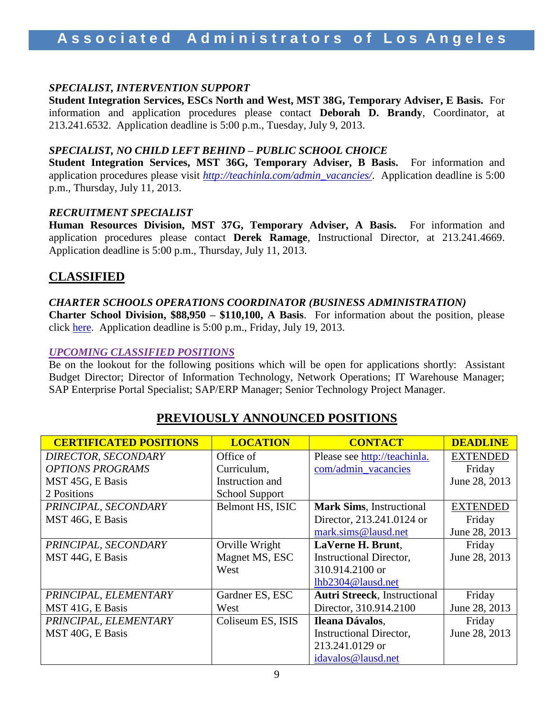### *SPECIALIST, INTERVENTION SUPPORT*

**Student Integration Services, ESCs North and West, MST 38G, Temporary Adviser, E Basis.** For information and application procedures please contact **Deborah D. Brandy**, Coordinator, at 213.241.6532. Application deadline is 5:00 p.m., Tuesday, July 9, 2013.

### *SPECIALIST, NO CHILD LEFT BEHIND – PUBLIC SCHOOL CHOICE*

**Student Integration Services, MST 36G, Temporary Adviser, B Basis.** For information and application procedures please visit *[http://teachinla.com/admin\\_vacancies/](http://teachinla.com/admin_vacancies/)*. Application deadline is 5:00 p.m., Thursday, July 11, 2013.

#### *RECRUITMENT SPECIALIST*

**Human Resources Division, MST 37G, Temporary Adviser, A Basis.** For information and application procedures please contact **Derek Ramage**, Instructional Director, at 213.241.4669. Application deadline is 5:00 p.m., Thursday, July 11, 2013.

### **CLASSIFIED**

### *CHARTER SCHOOLS OPERATIONS COORDINATOR (BUSINESS ADMINISTRATION)*

**Charter School Division, \$88,950 – \$110,100, A Basis**. For information about the position, please click [here.](https://btserec.lausd.net/sap(bD1lbiZjPTkxMCZkPW1pbg==)/bc/bsp/sap/zhrrcf_apply_ex/application.do?applicant=internal&BspClient=910&BspLanguage=EN&rfcContext=LAUSD)) Application deadline is 5:00 p.m., Friday, July 19, 2013.

#### *UPCOMING CLASSIFIED POSITIONS*

Be on the lookout for the following positions which will be open for applications shortly: Assistant Budget Director; Director of Information Technology, Network Operations; IT Warehouse Manager; SAP Enterprise Portal Specialist; SAP/ERP Manager; Senior Technology Project Manager.

| <b>CERTIFICATED POSITIONS</b> | <b>LOCATION</b>       | <b>CONTACT</b>                      | <b>DEADLINE</b> |
|-------------------------------|-----------------------|-------------------------------------|-----------------|
| DIRECTOR, SECONDARY           | Office of             | Please see http://teachinla.        | <b>EXTENDED</b> |
| <b>OPTIONS PROGRAMS</b>       | Curriculum,           | com/admin_vacancies                 | Friday          |
| MST 45G, E Basis              | Instruction and       |                                     | June 28, 2013   |
| 2 Positions                   | <b>School Support</b> |                                     |                 |
| PRINCIPAL, SECONDARY          | Belmont HS, ISIC      | <b>Mark Sims, Instructional</b>     | <b>EXTENDED</b> |
| MST 46G, E Basis              |                       | Director, 213.241.0124 or           | Friday          |
|                               |                       | mark.sims@lausd.net                 | June 28, 2013   |
| PRINCIPAL, SECONDARY          | Orville Wright        | LaVerne H. Brunt.                   | Friday          |
| MST 44G, E Basis              | Magnet MS, ESC        | <b>Instructional Director,</b>      | June 28, 2013   |
|                               | West                  | 310.914.2100 or                     |                 |
|                               |                       | lhb2304@lausd.net                   |                 |
| PRINCIPAL, ELEMENTARY         | Gardner ES, ESC       | <b>Autri Streeck, Instructional</b> | Friday          |
| MST 41G, E Basis              | West                  | Director, 310.914.2100              | June 28, 2013   |
| PRINCIPAL, ELEMENTARY         | Coliseum ES, ISIS     | Ileana Dávalos,                     | Friday          |
| MST 40G, E Basis              |                       | <b>Instructional Director,</b>      | June 28, 2013   |
|                               |                       | 213.241.0129 or                     |                 |
|                               |                       | idavalos@lausd.net                  |                 |

### **PREVIOUSLY ANNOUNCED POSITIONS**